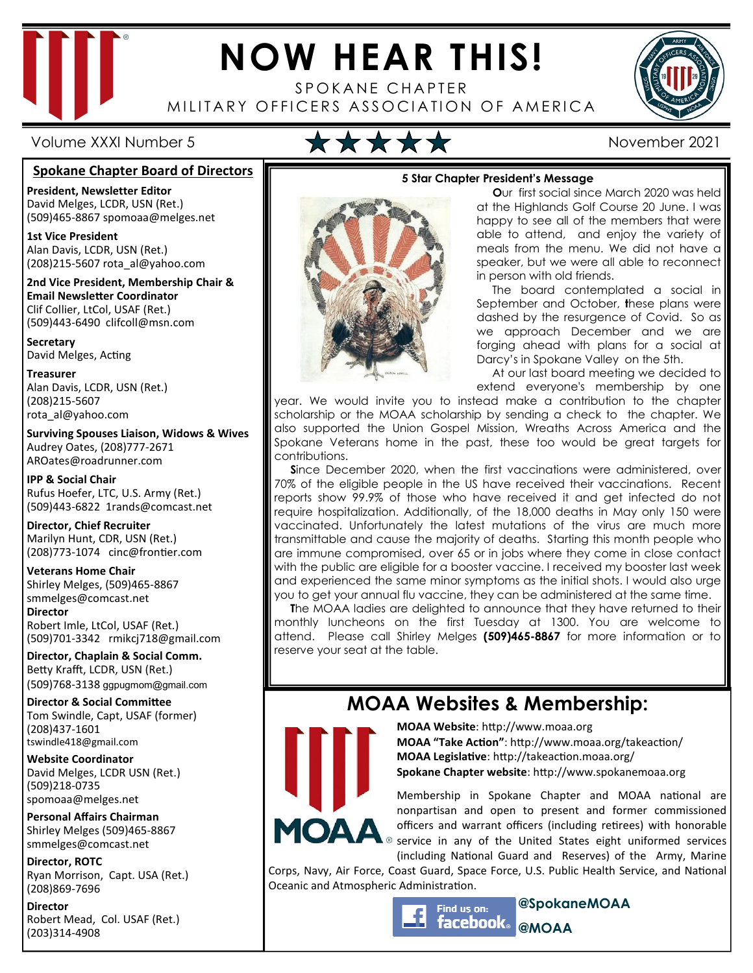

# **NOW HEAR THIS!**

SPOKANE CHAPTER MILITARY OFFICERS ASSOCIATION OF AMERICA



Volume XXXI Number 5 November 2021

### **Spokane Chapter Board of Directors**

**President, Newsletter Editor**  David Melges, LCDR, USN (Ret.) (509)465-8867 spomoaa@melges.net

**1st Vice President**  Alan Davis, LCDR, USN (Ret.) (208)215-5607 rota\_al@yahoo.com

**2nd Vice President, Membership Chair & Email Newsletter Coordinator** Clif Collier, LtCol, USAF (Ret.) (509)443-6490 clifcoll@msn.com

**Secretary**  David Melges, Acting

**Treasurer**  Alan Davis, LCDR, USN (Ret.) (208)215-5607 rota\_al@yahoo.com

**Surviving Spouses Liaison, Widows & Wives**  Audrey Oates, (208)777-2671 AROates@roadrunner.com

**IPP & Social Chair**  Rufus Hoefer, LTC, U.S. Army (Ret.) (509)443-6822 1rands@comcast.net

**Director, Chief Recruiter**  Marilyn Hunt, CDR, USN (Ret.) (208)773-1074 cinc@frontier.com

**Veterans Home Chair**  Shirley Melges, (509)465-8867 smmelges@comcast.net **Director**  Robert Imle, LtCol, USAF (Ret.)

(509)701-3342 rmikcj718@gmail.com **Director, Chaplain & Social Comm.** Betty Krafft, LCDR, USN (Ret.)

(509)768-3138 ggpugmom@gmail.com

**Director & Social Committee** Tom Swindle, Capt, USAF (former) (208)437-1601 tswindle418@gmail.com

**Website Coordinator**  David Melges, LCDR USN (Ret.) (509)218-0735 spomoaa@melges.net

**Personal Affairs Chairman**  Shirley Melges (509)465-8867 smmelges@comcast.net

**Director, ROTC**  Ryan Morrison, Capt. USA (Ret.) (208)869-7696

**Director**  Robert Mead, Col. USAF (Ret.) (203)314-4908



 **O**ur first social since March 2020 was held at the Highlands Golf Course 20 June. I was happy to see all of the members that were able to attend, and enjoy the variety of meals from the menu. We did not have a speaker, but we were all able to reconnect

in person with old friends. The board contemplated a social in September and October, **t**hese plans were dashed by the resurgence of Covid. So as we approach December and we are forging ahead with plans for a social at Darcy's in Spokane Valley on the 5th.

 At our last board meeting we decided to extend everyone's membership by one

year. We would invite you to instead make a contribution to the chapter scholarship or the MOAA scholarship by sending a check to the chapter. We also supported the Union Gospel Mission, Wreaths Across America and the Spokane Veterans home in the past, these too would be great targets for contributions.

**Since December 2020, when the first vaccinations were administered, over** 70% of the eligible people in the US have received their vaccinations. Recent reports show 99.9% of those who have received it and get infected do not require hospitalization. Additionally, of the 18,000 deaths in May only 150 were vaccinated. Unfortunately the latest mutations of the virus are much more transmittable and cause the majority of deaths. Starting this month people who are immune compromised, over 65 or in jobs where they come in close contact with the public are eligible for a booster vaccine. I received my booster last week and experienced the same minor symptoms as the initial shots. I would also urge you to get your annual flu vaccine, they can be administered at the same time.

 **T**he MOAA ladies are delighted to announce that they have returned to their monthly luncheons on the first Tuesday at 1300. You are welcome to attend. Please call Shirley Melges **(509)465-8867** for more information or to reserve your seat at the table.

## **MOAA Websites & Membership:**



**MOAA Website: http://www.moaa.org MOAA "Take Action"**: http://www.moaa.org/takeaction/ **MOAA Legislative**: http://takeaction.moaa.org/ **Spokane Chapter website**: http://www.spokanemoaa.org

Membership in Spokane Chapter and MOAA national are nonpartisan and open to present and former commissioned officers and warrant officers (including retirees) with honorable service in any of the United States eight uniformed services (including National Guard and Reserves) of the Army, Marine

Corps, Navy, Air Force, Coast Guard, Space Force, U.S. Public Health Service, and National Oceanic and Atmospheric Administration.

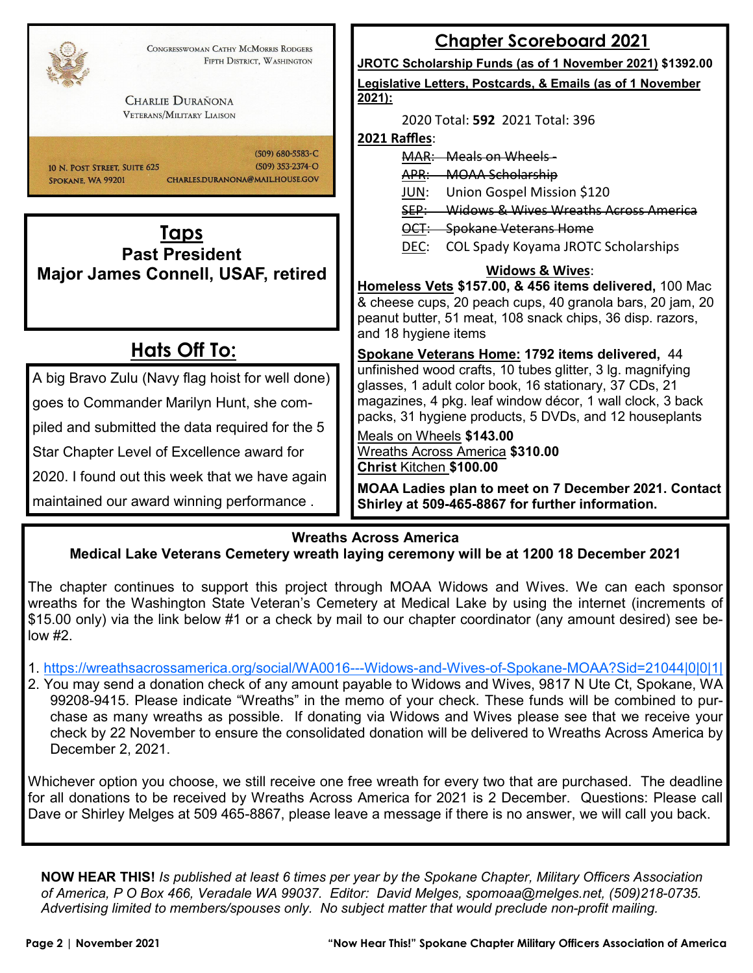

#### **Wreaths Across America**

#### **Medical Lake Veterans Cemetery wreath laying ceremony will be at 1200 18 December 2021**

The chapter continues to support this project through MOAA Widows and Wives. We can each sponsor wreaths for the Washington State Veteran's Cemetery at Medical Lake by using the internet (increments of \$15.00 only) via the link below #1 or a check by mail to our chapter coordinator (any amount desired) see be $low$  #2.

- 1. https://wreathsacrossamerica.org/social/WA0016---Widows-and-Wives-of-Spokane-MOAA?Sid=21044|0|0|1|
- 2. You may send a donation check of any amount payable to Widows and Wives, 9817 N Ute Ct, Spokane, WA 99208-9415. Please indicate "Wreaths" in the memo of your check. These funds will be combined to purchase as many wreaths as possible. If donating via Widows and Wives please see that we receive your check by 22 November to ensure the consolidated donation will be delivered to Wreaths Across America by December 2, 2021.

Whichever option you choose, we still receive one free wreath for every two that are purchased. The deadline for all donations to be received by Wreaths Across America for 2021 is 2 December. Questions: Please call Dave or Shirley Melges at 509 465-8867, please leave a message if there is no answer, we will call you back.

**NOW HEAR THIS!** *Is published at least 6 times per year by the Spokane Chapter, Military Officers Association of America, P O Box 466, Veradale WA 99037. Editor: David Melges, spomoaa@melges.net, (509)218-0735. Advertising limited to members/spouses only. No subject matter that would preclude non-profit mailing.*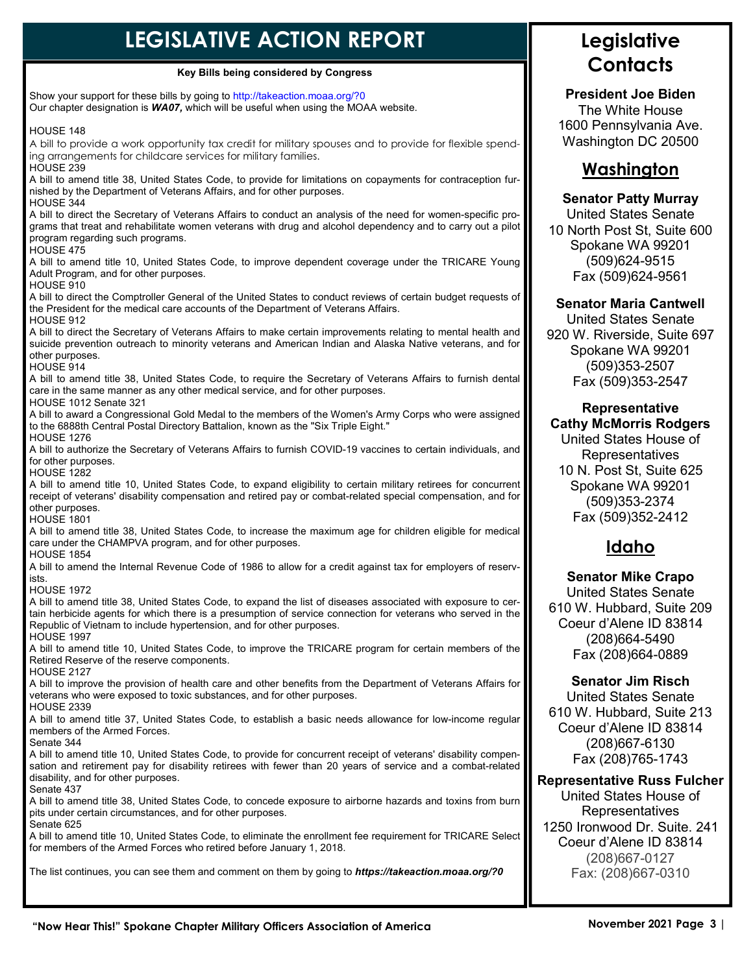## **LEGISLATIVE ACTION REPORT**

**Key Bills being considered by Congress** 

Show your support for these bills by going to http://takeaction.moaa.org/?0 Our chapter designation is *WA07,* which will be useful when using the MOAA website. **HOUSE 148** A bill to provide a work opportunity tax credit for military spouses and to provide for flexible spending arrangements for childcare services for military families. HOUSE 239 A bill to amend title 38, United States Code, to provide for limitations on copayments for contraception furnished by the Department of Veterans Affairs, and for other purposes. **HOUSE 344** A bill to direct the Secretary of Veterans Affairs to conduct an analysis of the need for women-specific programs that treat and rehabilitate women veterans with drug and alcohol dependency and to carry out a pilot program regarding such programs. HOUSE 475 A bill to amend title 10, United States Code, to improve dependent coverage under the TRICARE Young Adult Program, and for other purposes. HOUSE 910 A bill to direct the Comptroller General of the United States to conduct reviews of certain budget requests of the President for the medical care accounts of the Department of Veterans Affairs. HOUSE 912 A bill to direct the Secretary of Veterans Affairs to make certain improvements relating to mental health and suicide prevention outreach to minority veterans and American Indian and Alaska Native veterans, and for other purposes. HOUSE 914 A bill to amend title 38, United States Code, to require the Secretary of Veterans Affairs to furnish dental care in the same manner as any other medical service, and for other purposes. HOUSE 1012 Senate 321 A bill to award a Congressional Gold Medal to the members of the Women's Army Corps who were assigned to the 6888th Central Postal Directory Battalion, known as the "Six Triple Eight." HOUSE 1276 A bill to authorize the Secretary of Veterans Affairs to furnish COVID-19 vaccines to certain individuals, and for other purposes. HOUSE 1282 A bill to amend title 10, United States Code, to expand eligibility to certain military retirees for concurrent receipt of veterans' disability compensation and retired pay or combat-related special compensation, and for other purposes. HOUSE 1801 A bill to amend title 38, United States Code, to increase the maximum age for children eligible for medical care under the CHAMPVA program, and for other purposes. HOUSE 1854 A bill to amend the Internal Revenue Code of 1986 to allow for a credit against tax for employers of reservists. HOUSE 1972 A bill to amend title 38, United States Code, to expand the list of diseases associated with exposure to certain herbicide agents for which there is a presumption of service connection for veterans who served in the Republic of Vietnam to include hypertension, and for other purposes. HOUSE 1997 A bill to amend title 10, United States Code, to improve the TRICARE program for certain members of the Retired Reserve of the reserve components. HOUSE 2127 A bill to improve the provision of health care and other benefits from the Department of Veterans Affairs for veterans who were exposed to toxic substances, and for other purposes. HOUSE 2339 A bill to amend title 37, United States Code, to establish a basic needs allowance for low-income regular members of the Armed Forces. Senate 344 A bill to amend title 10, United States Code, to provide for concurrent receipt of veterans' disability compensation and retirement pay for disability retirees with fewer than 20 years of service and a combat-related disability, and for other purposes. Senate 437 A bill to amend title 38, United States Code, to concede exposure to airborne hazards and toxins from burn pits under certain circumstances, and for other purposes. Senate 625 A bill to amend title 10, United States Code, to eliminate the enrollment fee requirement for TRICARE Select for members of the Armed Forces who retired before January 1, 2018. The list continues, you can see them and comment on them by going to *https://takeaction.moaa.org/?0* 

## **Legislative Contacts**

**President Joe Biden**  The White House 1600 Pennsylvania Ave. Washington DC 20500

### **Washington**

#### **Senator Patty Murray**

United States Senate 10 North Post St, Suite 600 Spokane WA 99201 (509)624-9515 Fax (509)624-9561

#### **Senator Maria Cantwell**

United States Senate 920 W. Riverside, Suite 697 Spokane WA 99201 (509)353-2507 Fax (509)353-2547

#### **Representative Cathy McMorris Rodgers**

United States House of Representatives 10 N. Post St, Suite 625 Spokane WA 99201 (509)353-2374 Fax (509)352-2412

### **Idaho**

**Senator Mike Crapo** United States Senate 610 W. Hubbard, Suite 209 Coeur d'Alene ID 83814 (208)664-5490 Fax (208)664-0889

#### **Senator Jim Risch**

United States Senate 610 W. Hubbard, Suite 213 Coeur d'Alene ID 83814 (208)667-6130 Fax (208)765-1743

#### **Representative Russ Fulcher**

United States House of Representatives 1250 Ironwood Dr. Suite. 241 Coeur d'Alene ID 83814 (208)667-0127 Fax: (208)667-0310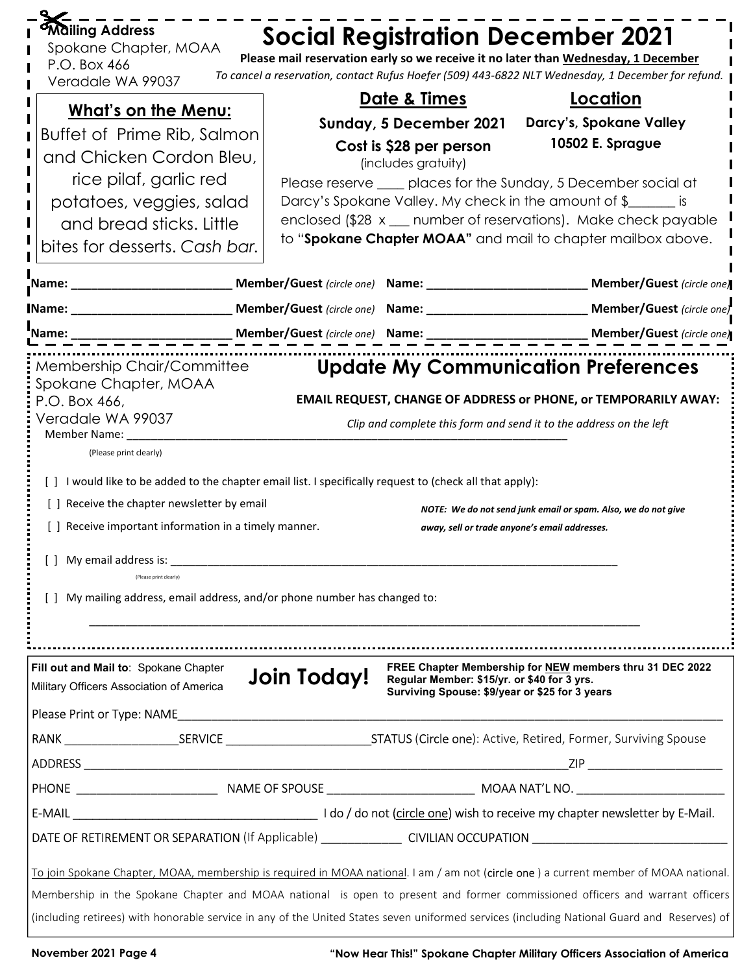| <b>Mailing Address</b>                                                                                                                                                                                                         |                                                                                                                                |                                                          |
|--------------------------------------------------------------------------------------------------------------------------------------------------------------------------------------------------------------------------------|--------------------------------------------------------------------------------------------------------------------------------|----------------------------------------------------------|
| Spokane Chapter, MOAA<br>P.O. Box 466                                                                                                                                                                                          | <b>Social Registration December 2021</b><br>Please mail reservation early so we receive it no later than Wednesday, 1 December |                                                          |
| Veradale WA 99037                                                                                                                                                                                                              | To cancel a reservation, contact Rufus Hoefer (509) 443-6822 NLT Wednesday, 1 December for refund.                             |                                                          |
| <b>What's on the Menu:</b>                                                                                                                                                                                                     | Date & Times                                                                                                                   | Location                                                 |
| Buffet of Prime Rib, Salmon                                                                                                                                                                                                    | Sunday, 5 December 2021                                                                                                        | Darcy's, Spokane Valley                                  |
| and Chicken Cordon Bleu,                                                                                                                                                                                                       | Cost is \$28 per person<br>(includes gratuity)                                                                                 | 10502 E. Sprague                                         |
| rice pilaf, garlic red                                                                                                                                                                                                         | Please reserve ____ places for the Sunday, 5 December social at                                                                |                                                          |
| potatoes, veggies, salad                                                                                                                                                                                                       | Darcy's Spokane Valley. My check in the amount of \$                                                                           |                                                          |
| and bread sticks. Little                                                                                                                                                                                                       | enclosed (\$28 x __ number of reservations). Make check payable                                                                |                                                          |
| bites for desserts. Cash bar.                                                                                                                                                                                                  | to "Spokane Chapter MOAA" and mail to chapter mailbox above.                                                                   |                                                          |
| _Name: _______________________                                                                                                                                                                                                 |                                                                                                                                | Member/Guest (circle one)                                |
| Mame: Name and Alberta and Alberta and Alberta and Alberta and Alberta and Alberta and Alberta and Alberta and Alberta and Alberta and Alberta and Alberta and Alberta and Alberta and Alberta and Alberta and Alberta and Alb |                                                                                                                                | Member/Guest (circle one)                                |
| Name:                                                                                                                                                                                                                          | Member/Guest (circle one) Name: __________                                                                                     | Member/Guest (circle one)                                |
| Membership Chair/Committee<br>Spokane Chapter, MOAA<br>P.O. Box 466,                                                                                                                                                           | <b>Update My Communication Preferences</b><br><b>EMAIL REQUEST, CHANGE OF ADDRESS or PHONE, or TEMPORARILY AWAY:</b>           |                                                          |
| Veradale WA 99037                                                                                                                                                                                                              | Clip and complete this form and send it to the address on the left                                                             |                                                          |
| Member Name: ______                                                                                                                                                                                                            |                                                                                                                                |                                                          |
| (Please print clearly)                                                                                                                                                                                                         |                                                                                                                                |                                                          |
|                                                                                                                                                                                                                                | I would like to be added to the chapter email list. I specifically request to (check all that apply):                          |                                                          |
| Receive the chapter newsletter by email<br>NOTE: We do not send junk email or spam. Also, we do not give                                                                                                                       |                                                                                                                                |                                                          |
| [] Receive important information in a timely manner.                                                                                                                                                                           | away, sell or trade anyone's email addresses.                                                                                  |                                                          |
|                                                                                                                                                                                                                                |                                                                                                                                |                                                          |
| (Please print clearly)                                                                                                                                                                                                         |                                                                                                                                |                                                          |
| [] My mailing address, email address, and/or phone number has changed to:                                                                                                                                                      |                                                                                                                                |                                                          |
|                                                                                                                                                                                                                                |                                                                                                                                |                                                          |
| Fill out and Mail to: Spokane Chapter<br>Military Officers Association of America                                                                                                                                              | <b>Join Today!</b><br>Regular Member: \$15/yr. or \$40 for 3 yrs.<br>Surviving Spouse: \$9/year or \$25 for 3 years            | FREE Chapter Membership for NEW members thru 31 DEC 2022 |
|                                                                                                                                                                                                                                |                                                                                                                                |                                                          |
|                                                                                                                                                                                                                                |                                                                                                                                |                                                          |
|                                                                                                                                                                                                                                |                                                                                                                                |                                                          |
|                                                                                                                                                                                                                                |                                                                                                                                |                                                          |
|                                                                                                                                                                                                                                |                                                                                                                                |                                                          |
|                                                                                                                                                                                                                                |                                                                                                                                |                                                          |
| To join Spokane Chapter, MOAA, membership is required in MOAA national. I am / am not (circle one) a current member of MOAA national.                                                                                          |                                                                                                                                |                                                          |
| Membership in the Spokane Chapter and MOAA national is open to present and former commissioned officers and warrant officers                                                                                                   |                                                                                                                                |                                                          |
|                                                                                                                                                                                                                                |                                                                                                                                |                                                          |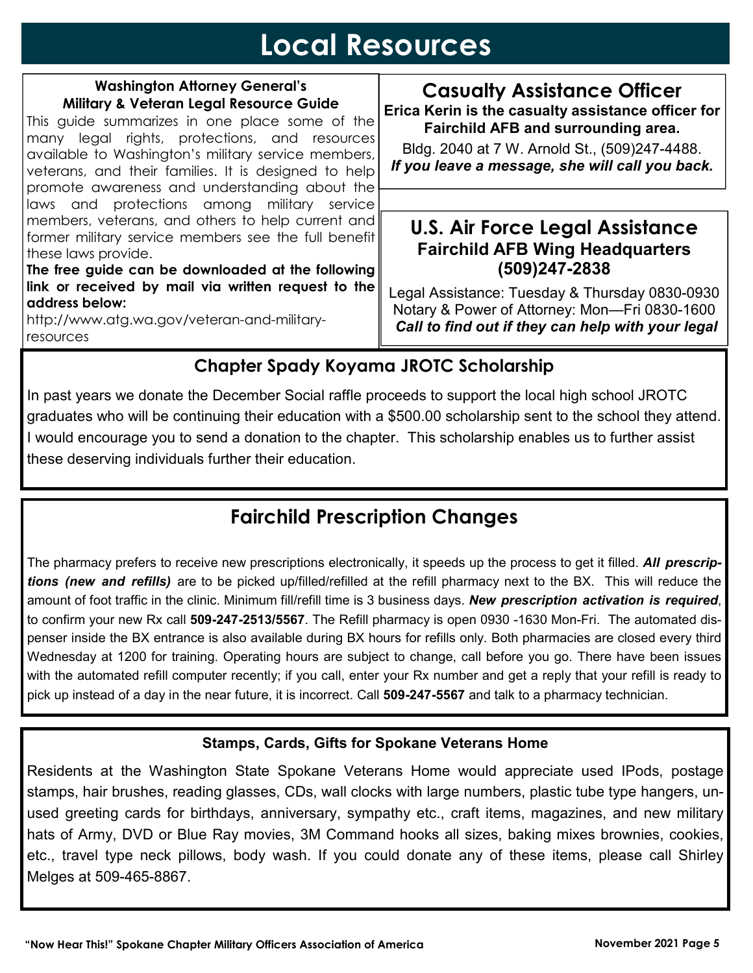## **Local Resources**

#### **Washington Attorney General's Military & Veteran Legal Resource Guide**

This guide summarizes in one place some of the many legal rights, protections, and resources available to Washington's military service members, veterans, and their families. It is designed to help promote awareness and understanding about the laws and protections among military service members, veterans, and others to help current and former military service members see the full benefit these laws provide.

**The free guide can be downloaded at the following link or received by mail via written request to the address below:** 

http://www.atg.wa.gov/veteran-and-militaryresources

#### **Casualty Assistance Officer Erica Kerin is the casualty assistance officer for Fairchild AFB and surrounding area.**

Bldg. 2040 at 7 W. Arnold St., (509)247-4488. *If you leave a message, she will call you back.* 

#### **U.S. Air Force Legal Assistance Fairchild AFB Wing Headquarters (509)247-2838**

Legal Assistance: Tuesday & Thursday 0830-0930 Notary & Power of Attorney: Mon—Fri 0830-1600  *Call to find out if they can help with your legal* 

## **Chapter Spady Koyama JROTC Scholarship**

In past years we donate the December Social raffle proceeds to support the local high school JROTC graduates who will be continuing their education with a \$500.00 scholarship sent to the school they attend. I would encourage you to send a donation to the chapter. This scholarship enables us to further assist these deserving individuals further their education.

## **Fairchild Prescription Changes**

The pharmacy prefers to receive new prescriptions electronically, it speeds up the process to get it filled. *All prescriptions (new and refills)* are to be picked up/filled/refilled at the refill pharmacy next to the BX. This will reduce the amount of foot traffic in the clinic. Minimum fill/refill time is 3 business days. *New prescription activation is required*, to confirm your new Rx call **509-247-2513/5567**. The Refill pharmacy is open 0930 -1630 Mon-Fri. The automated dispenser inside the BX entrance is also available during BX hours for refills only. Both pharmacies are closed every third Wednesday at 1200 for training. Operating hours are subject to change, call before you go. There have been issues with the automated refill computer recently; if you call, enter your Rx number and get a reply that your refill is ready to pick up instead of a day in the near future, it is incorrect. Call **509-247-5567** and talk to a pharmacy technician.

#### **Stamps, Cards, Gifts for Spokane Veterans Home**

Residents at the Washington State Spokane Veterans Home would appreciate used IPods, postage stamps, hair brushes, reading glasses, CDs, wall clocks with large numbers, plastic tube type hangers, unused greeting cards for birthdays, anniversary, sympathy etc., craft items, magazines, and new military hats of Army, DVD or Blue Ray movies, 3M Command hooks all sizes, baking mixes brownies, cookies, etc., travel type neck pillows, body wash. If you could donate any of these items, please call Shirley Melges at 509-465-8867.